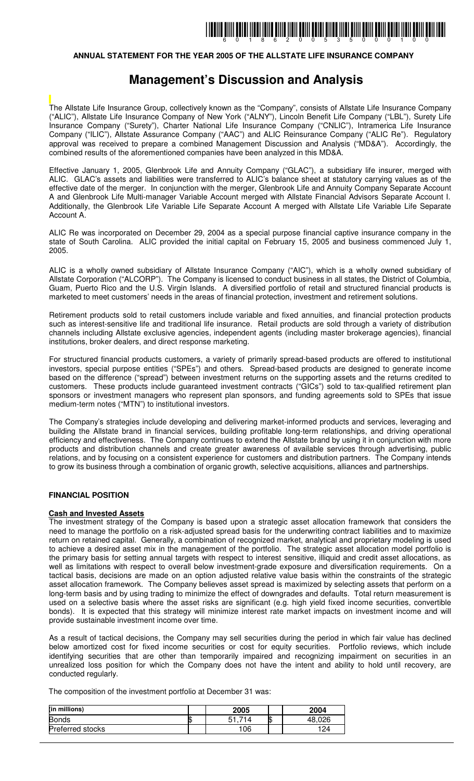### **ANNUAL STATEMENT FOR THE YEAR 2005 OF THE ALLSTATE LIFE INSURANCE COMPANY**

## **Management's Discussion and Analysis**

The Allstate Life Insurance Group, collectively known as the "Company", consists of Allstate Life Insurance Company ("ALIC"), Allstate Life Insurance Company of New York ("ALNY"), Lincoln Benefit Life Company ("LBL"), Surety Life Insurance Company ("Surety"), Charter National Life Insurance Company ("CNLIC"), Intramerica Life Insurance Company ("ILIC"), Allstate Assurance Company ("AAC") and ALIC Reinsurance Company ("ALIC Re"). Regulatory approval was received to prepare a combined Management Discussion and Analysis ("MD&A"). Accordingly, the combined results of the aforementioned companies have been analyzed in this MD&A.

Effective January 1, 2005, Glenbrook Life and Annuity Company ("GLAC"), a subsidiary life insurer, merged with ALIC. GLAC's assets and liabilities were transferred to ALIC's balance sheet at statutory carrying values as of the effective date of the merger. In conjunction with the merger, Glenbrook Life and Annuity Company Separate Account A and Glenbrook Life Multi-manager Variable Account merged with Allstate Financial Advisors Separate Account I. Additionally, the Glenbrook Life Variable Life Separate Account A merged with Allstate Life Variable Life Separate Account A.

ALIC Re was incorporated on December 29, 2004 as a special purpose financial captive insurance company in the state of South Carolina. ALIC provided the initial capital on February 15, 2005 and business commenced July 1, 2005.

ALIC is a wholly owned subsidiary of Allstate Insurance Company ("AIC"), which is a wholly owned subsidiary of Allstate Corporation ("ALCORP"). The Company is licensed to conduct business in all states, the District of Columbia, Guam, Puerto Rico and the U.S. Virgin Islands. A diversified portfolio of retail and structured financial products is marketed to meet customers' needs in the areas of financial protection, investment and retirement solutions.

Retirement products sold to retail customers include variable and fixed annuities, and financial protection products such as interest-sensitive life and traditional life insurance. Retail products are sold through a variety of distribution channels including Allstate exclusive agencies, independent agents (including master brokerage agencies), financial institutions, broker dealers, and direct response marketing.

For structured financial products customers, a variety of primarily spread-based products are offered to institutional investors, special purpose entities ("SPEs") and others. Spread-based products are designed to generate income based on the difference ("spread") between investment returns on the supporting assets and the returns credited to customers. These products include guaranteed investment contracts ("GICs") sold to tax-qualified retirement plan sponsors or investment managers who represent plan sponsors, and funding agreements sold to SPEs that issue medium-term notes ("MTN") to institutional investors.

The Company's strategies include developing and delivering market-informed products and services, leveraging and building the Allstate brand in financial services, building profitable long-term relationships, and driving operational efficiency and effectiveness. The Company continues to extend the Allstate brand by using it in conjunction with more products and distribution channels and create greater awareness of available services through advertising, public relations, and by focusing on a consistent experience for customers and distribution partners. The Company intends to grow its business through a combination of organic growth, selective acquisitions, alliances and partnerships.

### **FINANCIAL POSITION**

### **Cash and Invested Assets**

The investment strategy of the Company is based upon a strategic asset allocation framework that considers the need to manage the portfolio on a risk-adjusted spread basis for the underwriting contract liabilities and to maximize return on retained capital. Generally, a combination of recognized market, analytical and proprietary modeling is used to achieve a desired asset mix in the management of the portfolio. The strategic asset allocation model portfolio is the primary basis for setting annual targets with respect to interest sensitive, illiquid and credit asset allocations, as well as limitations with respect to overall below investment-grade exposure and diversification requirements. On a tactical basis, decisions are made on an option adjusted relative value basis within the constraints of the strategic asset allocation framework. The Company believes asset spread is maximized by selecting assets that perform on a long-term basis and by using trading to minimize the effect of downgrades and defaults. Total return measurement is used on a selective basis where the asset risks are significant (e.g. high yield fixed income securities, convertible bonds). It is expected that this strategy will minimize interest rate market impacts on investment income and will provide sustainable investment income over time.

As a result of tactical decisions, the Company may sell securities during the period in which fair value has declined below amortized cost for fixed income securities or cost for equity securities. Portfolio reviews, which include identifying securities that are other than temporarily impaired and recognizing impairment on securities in an unrealized loss position for which the Company does not have the intent and ability to hold until recovery, are conducted regularly.

The composition of the investment portfolio at December 31 was:

| (in millions)    | 2005 | 2004   |
|------------------|------|--------|
| <b>Bonds</b>     |      | 48,026 |
| Preferred stocks | 106  | 124    |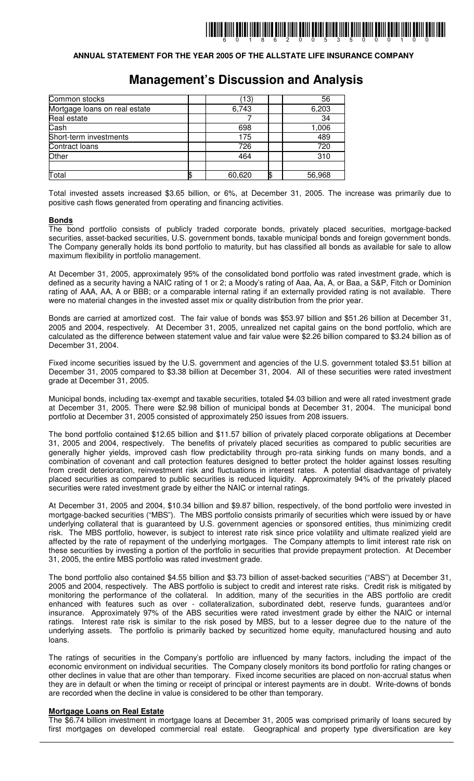### **ANNUAL STATEMENT FOR THE YEAR 2005 OF THE ALLSTATE LIFE INSURANCE COMPANY**

## **Management's Discussion and Analysis**

| Common stocks                 | (13)         | 56     |
|-------------------------------|--------------|--------|
| Mortgage loans on real estate | 6,743        | 6,203  |
| <b>Real estate</b>            |              | 34     |
| Cash                          | 698          | 1,006  |
| Short-term investments        | 175          | 489    |
| Contract loans                | 726          | 720    |
| Other                         | 464          | 310    |
|                               |              |        |
| Total                         | \$<br>60,620 | 56,968 |

Total invested assets increased \$3.65 billion, or 6%, at December 31, 2005. The increase was primarily due to positive cash flows generated from operating and financing activities.

### **Bonds**

The bond portfolio consists of publicly traded corporate bonds, privately placed securities, mortgage-backed securities, asset-backed securities, U.S. government bonds, taxable municipal bonds and foreign government bonds. The Company generally holds its bond portfolio to maturity, but has classified all bonds as available for sale to allow maximum flexibility in portfolio management.

At December 31, 2005, approximately 95% of the consolidated bond portfolio was rated investment grade, which is defined as a security having a NAIC rating of 1 or 2; a Moody's rating of Aaa, Aa, A, or Baa, a S&P, Fitch or Dominion rating of AAA, AA, A or BBB; or a comparable internal rating if an externally provided rating is not available. There were no material changes in the invested asset mix or quality distribution from the prior year.

Bonds are carried at amortized cost. The fair value of bonds was \$53.97 billion and \$51.26 billion at December 31, 2005 and 2004, respectively. At December 31, 2005, unrealized net capital gains on the bond portfolio, which are calculated as the difference between statement value and fair value were \$2.26 billion compared to \$3.24 billion as of December 31, 2004.

Fixed income securities issued by the U.S. government and agencies of the U.S. government totaled \$3.51 billion at December 31, 2005 compared to \$3.38 billion at December 31, 2004. All of these securities were rated investment grade at December 31, 2005.

Municipal bonds, including tax-exempt and taxable securities, totaled \$4.03 billion and were all rated investment grade at December 31, 2005. There were \$2.98 billion of municipal bonds at December 31, 2004. The municipal bond portfolio at December 31, 2005 consisted of approximately 250 issues from 208 issuers.

The bond portfolio contained \$12.65 billion and \$11.57 billion of privately placed corporate obligations at December 31, 2005 and 2004, respectively. The benefits of privately placed securities as compared to public securities are generally higher yields, improved cash flow predictability through pro-rata sinking funds on many bonds, and a combination of covenant and call protection features designed to better protect the holder against losses resulting from credit deterioration, reinvestment risk and fluctuations in interest rates. A potential disadvantage of privately placed securities as compared to public securities is reduced liquidity. Approximately 94% of the privately placed securities were rated investment grade by either the NAIC or internal ratings.

At December 31, 2005 and 2004, \$10.34 billion and \$9.87 billion, respectively, of the bond portfolio were invested in mortgage-backed securities ("MBS"). The MBS portfolio consists primarily of securities which were issued by or have underlying collateral that is guaranteed by U.S. government agencies or sponsored entities, thus minimizing credit risk. The MBS portfolio, however, is subject to interest rate risk since price volatility and ultimate realized yield are affected by the rate of repayment of the underlying mortgages. The Company attempts to limit interest rate risk on these securities by investing a portion of the portfolio in securities that provide prepayment protection. At December 31, 2005, the entire MBS portfolio was rated investment grade.

The bond portfolio also contained \$4.55 billion and \$3.73 billion of asset-backed securities ("ABS") at December 31, 2005 and 2004, respectively. The ABS portfolio is subject to credit and interest rate risks. Credit risk is mitigated by monitoring the performance of the collateral. In addition, many of the securities in the ABS portfolio are credit enhanced with features such as over - collateralization, subordinated debt, reserve funds, guarantees and/or insurance. Approximately 97% of the ABS securities were rated investment grade by either the NAIC or internal ratings. Interest rate risk is similar to the risk posed by MBS, but to a lesser degree due to the nature of the underlying assets. The portfolio is primarily backed by securitized home equity, manufactured housing and auto loans.

The ratings of securities in the Company's portfolio are influenced by many factors, including the impact of the economic environment on individual securities. The Company closely monitors its bond portfolio for rating changes or other declines in value that are other than temporary. Fixed income securities are placed on non-accrual status when they are in default or when the timing or receipt of principal or interest payments are in doubt. Write-downs of bonds are recorded when the decline in value is considered to be other than temporary.

### **Mortgage Loans on Real Estate**

The \$6.74 billion investment in mortgage loans at December 31, 2005 was comprised primarily of loans secured by first mortgages on developed commercial real estate. Geographical and property type diversification are key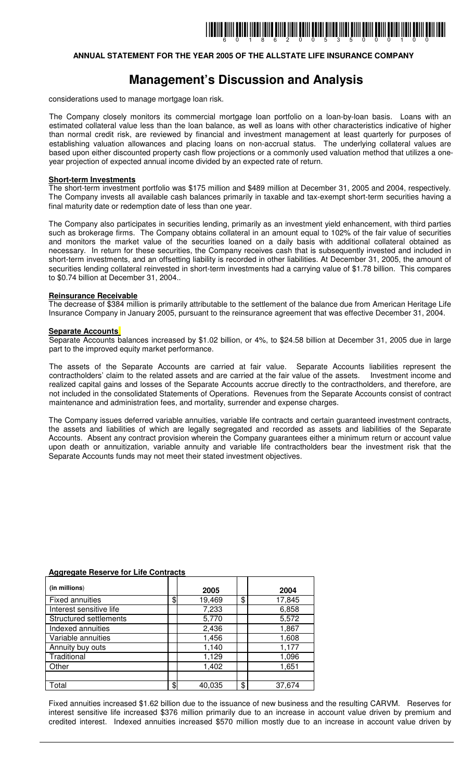### **ANNUAL STATEMENT FOR THE YEAR 2005 OF THE ALLSTATE LIFE INSURANCE COMPANY**

# **Management's Discussion and Analysis**

considerations used to manage mortgage loan risk.

The Company closely monitors its commercial mortgage loan portfolio on a loan-by-loan basis. Loans with an estimated collateral value less than the loan balance, as well as loans with other characteristics indicative of higher than normal credit risk, are reviewed by financial and investment management at least quarterly for purposes of establishing valuation allowances and placing loans on non-accrual status. The underlying collateral values are based upon either discounted property cash flow projections or a commonly used valuation method that utilizes a oneyear projection of expected annual income divided by an expected rate of return.

### **Short-term Investments**

The short-term investment portfolio was \$175 million and \$489 million at December 31, 2005 and 2004, respectively. The Company invests all available cash balances primarily in taxable and tax-exempt short-term securities having a final maturity date or redemption date of less than one year.

The Company also participates in securities lending, primarily as an investment yield enhancement, with third parties such as brokerage firms. The Company obtains collateral in an amount equal to 102% of the fair value of securities and monitors the market value of the securities loaned on a daily basis with additional collateral obtained as necessary. In return for these securities, the Company receives cash that is subsequently invested and included in short-term investments, and an offsetting liability is recorded in other liabilities. At December 31, 2005, the amount of securities lending collateral reinvested in short-term investments had a carrying value of \$1.78 billion. This compares to \$0.74 billion at December 31, 2004..

### **Reinsurance Receivable**

The decrease of \$384 million is primarily attributable to the settlement of the balance due from American Heritage Life Insurance Company in January 2005, pursuant to the reinsurance agreement that was effective December 31, 2004.

### **Separate Accounts**

Separate Accounts balances increased by \$1.02 billion, or 4%, to \$24.58 billion at December 31, 2005 due in large part to the improved equity market performance.

The assets of the Separate Accounts are carried at fair value. Separate Accounts liabilities represent the contractholders' claim to the related assets and are carried at the fair value of the assets. Investment income and realized capital gains and losses of the Separate Accounts accrue directly to the contractholders, and therefore, are not included in the consolidated Statements of Operations. Revenues from the Separate Accounts consist of contract maintenance and administration fees, and mortality, surrender and expense charges.

The Company issues deferred variable annuities, variable life contracts and certain guaranteed investment contracts, the assets and liabilities of which are legally segregated and recorded as assets and liabilities of the Separate Accounts. Absent any contract provision wherein the Company guarantees either a minimum return or account value upon death or annuitization, variable annuity and variable life contractholders bear the investment risk that the Separate Accounts funds may not meet their stated investment objectives.

| (in millions)           | 2005         | 2004         |
|-------------------------|--------------|--------------|
| <b>Fixed annuities</b>  | \$<br>19,469 | \$<br>17,845 |
| Interest sensitive life | 7,233        | 6,858        |
| Structured settlements  | 5,770        | 5,572        |
| Indexed annuities       | 2,436        | 1,867        |
| Variable annuities      | 1,456        | 1,608        |
| Annuity buy outs        | 1,140        | 1,177        |
| Traditional             | 1,129        | 1,096        |
| Other                   | 1,402        | 1,651        |
|                         |              |              |
| Total                   | \$<br>40,035 | \$<br>37,674 |

#### **Aggregate Reserve for Life Contracts**

Fixed annuities increased \$1.62 billion due to the issuance of new business and the resulting CARVM. Reserves for interest sensitive life increased \$376 million primarily due to an increase in account value driven by premium and credited interest. Indexed annuities increased \$570 million mostly due to an increase in account value driven by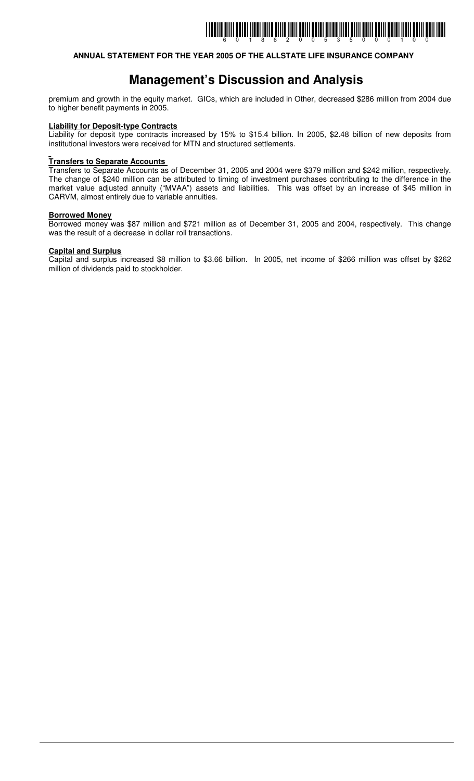## **ANNUAL STATEMENT FOR THE YEAR 2005 OF THE ALLSTATE LIFE INSURANCE COMPANY**

## **Management's Discussion and Analysis**

premium and growth in the equity market. GICs, which are included in Other, decreased \$286 million from 2004 due to higher benefit payments in 2005.

### **Liability for Deposit-type Contracts**

Liability for deposit type contracts increased by 15% to \$15.4 billion. In 2005, \$2.48 billion of new deposits from institutional investors were received for MTN and structured settlements.

### **Transfers to Separate Accounts**

Transfers to Separate Accounts as of December 31, 2005 and 2004 were \$379 million and \$242 million, respectively. The change of \$240 million can be attributed to timing of investment purchases contributing to the difference in the market value adjusted annuity ("MVAA") assets and liabilities. This was offset by an increase of \$45 million in CARVM, almost entirely due to variable annuities.

### **Borrowed Money**

Borrowed money was \$87 million and \$721 million as of December 31, 2005 and 2004, respectively. This change was the result of a decrease in dollar roll transactions.

### **Capital and Surplus**

Capital and surplus increased \$8 million to \$3.66 billion. In 2005, net income of \$266 million was offset by \$262 million of dividends paid to stockholder.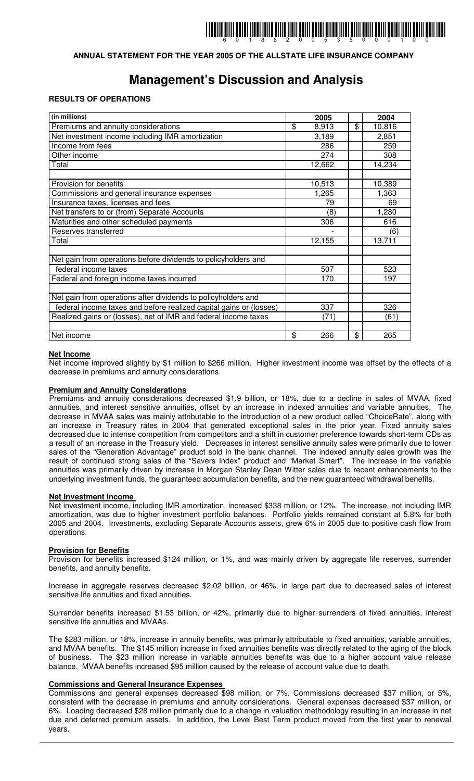## **ANNUAL STATEMENT FOR THE YEAR 2005 OF THE ALLSTATE LIFE INSURANCE COMPANY**

# **Management's Discussion and Analysis**

### **RESULTS OF OPERATIONS**

| (in millions)                                                      | 2005        | 2004         |
|--------------------------------------------------------------------|-------------|--------------|
| Premiums and annuity considerations                                | \$<br>8,913 | \$<br>10,816 |
| Net investment income including IMR amortization                   | 3,189       | 2,851        |
| Income from fees                                                   | 286         | 259          |
| Other income                                                       | 274         | 308          |
| Total                                                              | 12,662      | 14,234       |
|                                                                    |             |              |
| Provision for benefits                                             | 10,513      | 10,389       |
| Commissions and general insurance expenses                         | 1,265       | 1,363        |
| Insurance taxes, licenses and fees                                 | 79          | 69           |
| Net transfers to or (from) Separate Accounts                       | (8)         | 1,280        |
| Maturities and other scheduled payments                            | 306         | 616          |
| Reserves transferred                                               |             | (6)          |
| Total                                                              | 12,155      | 13,711       |
|                                                                    |             |              |
| Net gain from operations before dividends to policyholders and     |             |              |
| federal income taxes                                               | 507         | 523          |
| Federal and foreign income taxes incurred                          | 170         | 197          |
|                                                                    |             |              |
| Net gain from operations after dividends to policyholders and      |             |              |
| federal income taxes and before realized capital gains or (losses) | 337         | 326          |
| Realized gains or (losses), net of IMR and federal income taxes    | (71)        | (61)         |
|                                                                    |             |              |
| Net income                                                         | \$<br>266   | \$<br>265    |

### **Net Income**

Net income improved slightly by \$1 million to \$266 million. Higher investment income was offset by the effects of a decrease in premiums and annuity considerations.

### **Premium and Annuity Considerations**

Premiums and annuity considerations decreased \$1.9 billion, or 18%, due to a decline in sales of MVAA, fixed annuities, and interest sensitive annuities, offset by an increase in indexed annuities and variable annuities. The decrease in MVAA sales was mainly attributable to the introduction of a new product called "ChoiceRate", along with an increase in Treasury rates in 2004 that generated exceptional sales in the prior year. Fixed annuity sales decreased due to intense competition from competitors and a shift in customer preference towards short-term CDs as a result of an increase in the Treasury yield. Decreases in interest sensitive annuity sales were primarily due to lower sales of the "Generation Advantage" product sold in the bank channel. The indexed annuity sales growth was the result of continued strong sales of the "Savers Index" product and "Market Smart". The increase in the variable annuities was primarily driven by increase in Morgan Stanley Dean Witter sales due to recent enhancements to the underlying investment funds, the guaranteed accumulation benefits, and the new guaranteed withdrawal benefits.

#### **Net Investment Income**

Net investment income, including IMR amortization, increased \$338 million, or 12%. The increase, not including IMR amortization, was due to higher investment portfolio balances. Portfolio yields remained constant at 5.8% for both 2005 and 2004. Investments, excluding Separate Accounts assets, grew 6% in 2005 due to positive cash flow from operations.

### **Provision for Benefits**

Provision for benefits increased \$124 million, or 1%, and was mainly driven by aggregate life reserves, surrender benefits, and annuity benefits.

Increase in aggregate reserves decreased \$2.02 billion, or 46%, in large part due to decreased sales of interest sensitive life annuities and fixed annuities.

Surrender benefits increased \$1.53 billion, or 42%, primarily due to higher surrenders of fixed annuities, interest sensitive life annuities and MVAAs.

The \$283 million, or 18%, increase in annuity benefits, was primarily attributable to fixed annuities, variable annuities, and MVAA benefits. The \$145 million increase in fixed annuities benefits was directly related to the aging of the block of business. The \$23 million increase in variable annuities benefits was due to a higher account value release balance. MVAA benefits increased \$95 million caused by the release of account value due to death.

### **Commissions and General Insurance Expenses**

Commissions and general expenses decreased \$98 million, or 7%. Commissions decreased \$37 million, or 5%, consistent with the decrease in premiums and annuity considerations. General expenses decreased \$37 million, or 6%. Loading decreased \$28 million primarily due to a change in valuation methodology resulting in an increase in net due and deferred premium assets. In addition, the Level Best Term product moved from the first year to renewal years.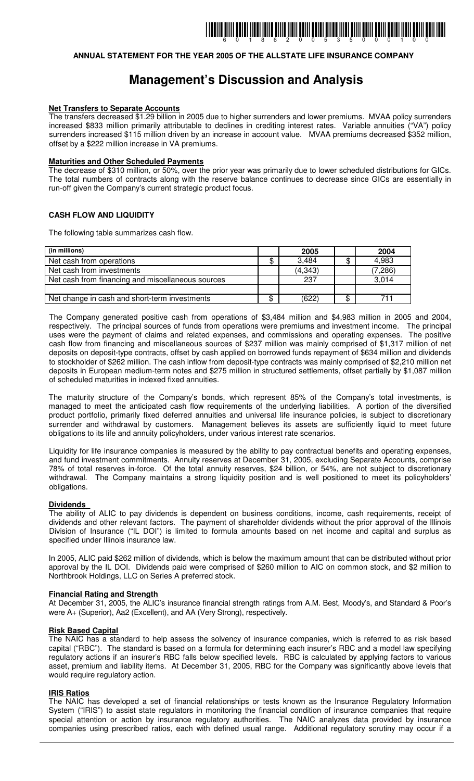### **ANNUAL STATEMENT FOR THE YEAR 2005 OF THE ALLSTATE LIFE INSURANCE COMPANY**

# **Management's Discussion and Analysis**

#### **Net Transfers to Separate Accounts**

The transfers decreased \$1.29 billion in 2005 due to higher surrenders and lower premiums. MVAA policy surrenders increased \$833 million primarily attributable to declines in crediting interest rates. Variable annuities ("VA") policy surrenders increased \$115 million driven by an increase in account value. MVAA premiums decreased \$352 million, offset by a \$222 million increase in VA premiums.

#### **Maturities and Other Scheduled Payments**

The decrease of \$310 million, or 50%, over the prior year was primarily due to lower scheduled distributions for GICs. The total numbers of contracts along with the reserve balance continues to decrease since GICs are essentially in run-off given the Company's current strategic product focus.

### **CASH FLOW AND LIQUIDITY**

The following table summarizes cash flow.

| (in millions)                                     |   | 2005     |   | 2004    |
|---------------------------------------------------|---|----------|---|---------|
| Net cash from operations                          |   | 3,484    |   | 4,983   |
| Net cash from investments                         |   | (4, 343) |   | (7,286) |
| Net cash from financing and miscellaneous sources |   | 237      |   | 3,014   |
|                                                   |   |          |   |         |
| Net change in cash and short-term investments     | ጦ | (622)    | ጦ | 711     |

The Company generated positive cash from operations of \$3,484 million and \$4,983 million in 2005 and 2004, respectively. The principal sources of funds from operations were premiums and investment income. The principal uses were the payment of claims and related expenses, and commissions and operating expenses. The positive cash flow from financing and miscellaneous sources of \$237 million was mainly comprised of \$1,317 million of net deposits on deposit-type contracts, offset by cash applied on borrowed funds repayment of \$634 million and dividends to stockholder of \$262 million. The cash inflow from deposit-type contracts was mainly comprised of \$2,210 million net deposits in European medium-term notes and \$275 million in structured settlements, offset partially by \$1,087 million of scheduled maturities in indexed fixed annuities.

The maturity structure of the Company's bonds, which represent 85% of the Company's total investments, is managed to meet the anticipated cash flow requirements of the underlying liabilities. A portion of the diversified product portfolio, primarily fixed deferred annuities and universal life insurance policies, is subject to discretionary surrender and withdrawal by customers. Management believes its assets are sufficiently liquid to meet future obligations to its life and annuity policyholders, under various interest rate scenarios.

Liquidity for life insurance companies is measured by the ability to pay contractual benefits and operating expenses, and fund investment commitments. Annuity reserves at December 31, 2005, excluding Separate Accounts, comprise 78% of total reserves in-force. Of the total annuity reserves, \$24 billion, or 54%, are not subject to discretionary withdrawal. The Company maintains a strong liquidity position and is well positioned to meet its policyholders' obligations.

#### **Dividends**

The ability of ALIC to pay dividends is dependent on business conditions, income, cash requirements, receipt of dividends and other relevant factors. The payment of shareholder dividends without the prior approval of the Illinois Division of Insurance ("IL DOI") is limited to formula amounts based on net income and capital and surplus as specified under Illinois insurance law.

In 2005, ALIC paid \$262 million of dividends, which is below the maximum amount that can be distributed without prior approval by the IL DOI. Dividends paid were comprised of \$260 million to AIC on common stock, and \$2 million to Northbrook Holdings, LLC on Series A preferred stock.

### **Financial Rating and Strength**

At December 31, 2005, the ALIC's insurance financial strength ratings from A.M. Best, Moody's, and Standard & Poor's were A+ (Superior), Aa2 (Excellent), and AA (Very Strong), respectively.

### **Risk Based Capital**

The NAIC has a standard to help assess the solvency of insurance companies, which is referred to as risk based capital ("RBC"). The standard is based on a formula for determining each insurer's RBC and a model law specifying regulatory actions if an insurer's RBC falls below specified levels. RBC is calculated by applying factors to various asset, premium and liability items. At December 31, 2005, RBC for the Company was significantly above levels that would require regulatory action.

### **IRIS Ratios**

The NAIC has developed a set of financial relationships or tests known as the Insurance Regulatory Information System ("IRIS") to assist state regulators in monitoring the financial condition of insurance companies that require special attention or action by insurance regulatory authorities. The NAIC analyzes data provided by insurance companies using prescribed ratios, each with defined usual range. Additional regulatory scrutiny may occur if a